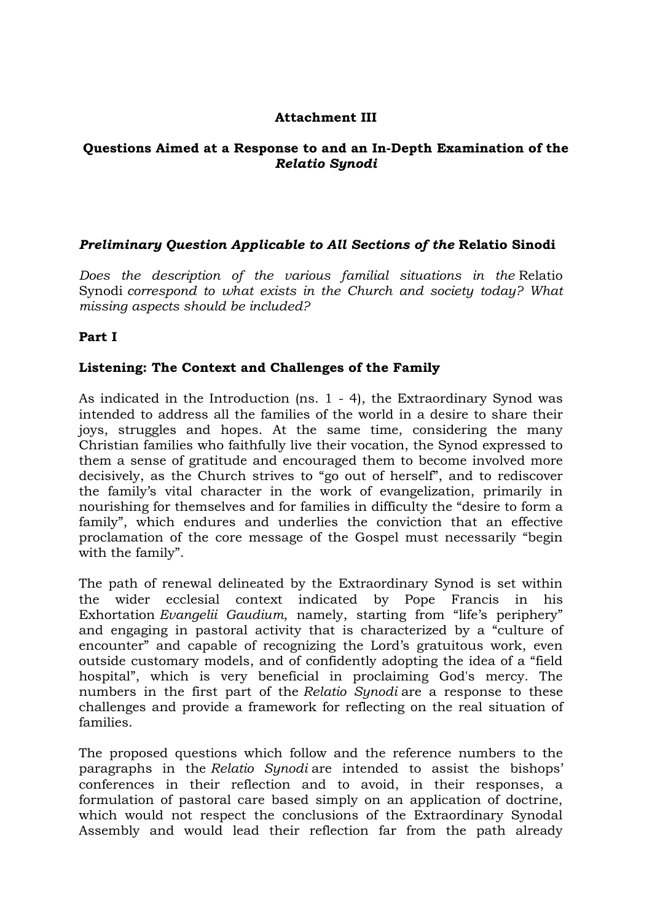### **Attachment III**

#### **Questions Aimed at a Response to and an In-Depth Examination of the**  *Relatio Synodi*

## *Preliminary Question Applicable to All Sections of the* **Relatio Sinodi**

*Does the description of the various familial situations in the* Relatio Synodi *correspond to what exists in the Church and society today? What missing aspects should be included?*

## **Part I**

## **Listening: The Context and Challenges of the Family**

As indicated in the Introduction (ns. 1 - 4), the Extraordinary Synod was intended to address all the families of the world in a desire to share their joys, struggles and hopes. At the same time, considering the many Christian families who faithfully live their vocation, the Synod expressed to them a sense of gratitude and encouraged them to become involved more decisively, as the Church strives to "go out of herself", and to rediscover the family's vital character in the work of evangelization, primarily in nourishing for themselves and for families in difficulty the "desire to form a family", which endures and underlies the conviction that an effective proclamation of the core message of the Gospel must necessarily "begin with the family".

The path of renewal delineated by the Extraordinary Synod is set within the wider ecclesial context indicated by Pope Francis in his Exhortation *Evangelii Gaudium*, namely, starting from "life's periphery" and engaging in pastoral activity that is characterized by a "culture of encounter" and capable of recognizing the Lord's gratuitous work, even outside customary models, and of confidently adopting the idea of a "field hospital", which is very beneficial in proclaiming God's mercy. The numbers in the first part of the *Relatio Synodi* are a response to these challenges and provide a framework for reflecting on the real situation of families.

The proposed questions which follow and the reference numbers to the paragraphs in the *Relatio Synodi* are intended to assist the bishops' conferences in their reflection and to avoid, in their responses, a formulation of pastoral care based simply on an application of doctrine, which would not respect the conclusions of the Extraordinary Synodal Assembly and would lead their reflection far from the path already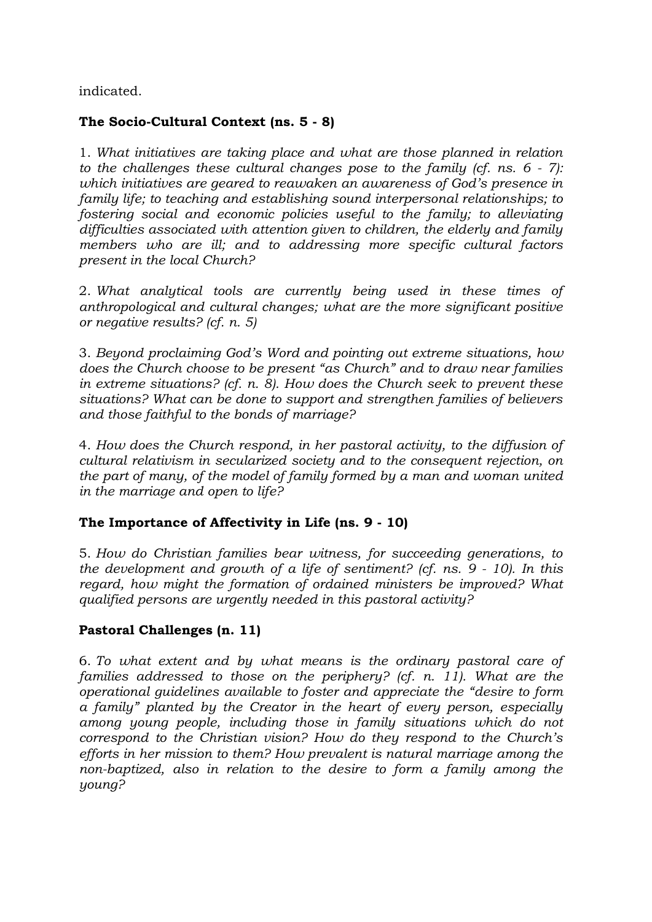indicated.

# **The Socio-Cultural Context (ns. 5 - 8)**

1. *What initiatives are taking place and what are those planned in relation to the challenges these cultural changes pose to the family (cf. ns. 6 - 7): which initiatives are geared to reawaken an awareness of God's presence in family life; to teaching and establishing sound interpersonal relationships; to fostering social and economic policies useful to the family; to alleviating difficulties associated with attention given to children, the elderly and family members who are ill; and to addressing more specific cultural factors present in the local Church?*

2. *What analytical tools are currently being used in these times of anthropological and cultural changes; what are the more significant positive or negative results? (cf. n. 5)*

3. *Beyond proclaiming God's Word and pointing out extreme situations, how does the Church choose to be present "as Church" and to draw near families in extreme situations? (cf. n. 8). How does the Church seek to prevent these situations? What can be done to support and strengthen families of believers and those faithful to the bonds of marriage?*

4. *How does the Church respond, in her pastoral activity, to the diffusion of cultural relativism in secularized society and to the consequent rejection, on the part of many, of the model of family formed by a man and woman united in the marriage and open to life?*

# **The Importance of Affectivity in Life (ns. 9 - 10)**

5. *How do Christian families bear witness, for succeeding generations, to the development and growth of a life of sentiment? (cf. ns. 9 - 10). In this regard, how might the formation of ordained ministers be improved? What qualified persons are urgently needed in this pastoral activity?*

# **Pastoral Challenges (n. 11)**

6. *To what extent and by what means is the ordinary pastoral care of families addressed to those on the periphery? (cf. n. 11). What are the operational guidelines available to foster and appreciate the "desire to form a family" planted by the Creator in the heart of every person, especially among young people, including those in family situations which do not correspond to the Christian vision? How do they respond to the Church's efforts in her mission to them? How prevalent is natural marriage among the non-baptized, also in relation to the desire to form a family among the young?*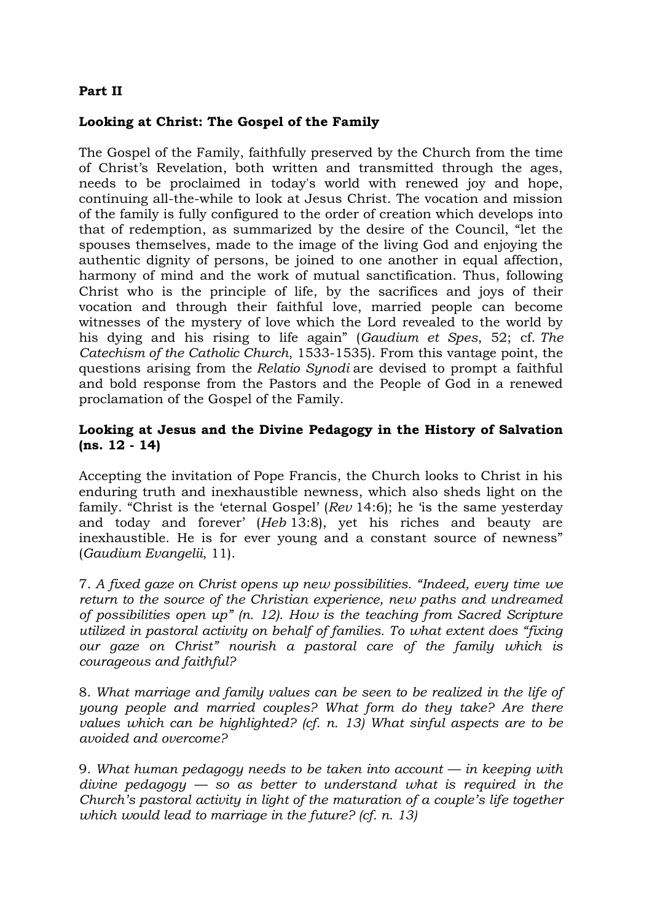## **Part II**

## **Looking at Christ: The Gospel of the Family**

The Gospel of the Family, faithfully preserved by the Church from the time of Christ's Revelation, both written and transmitted through the ages, needs to be proclaimed in today's world with renewed joy and hope, continuing all-the-while to look at Jesus Christ. The vocation and mission of the family is fully configured to the order of creation which develops into that of redemption, as summarized by the desire of the Council, "let the spouses themselves, made to the image of the living God and enjoying the authentic dignity of persons, be joined to one another in equal affection, harmony of mind and the work of mutual sanctification. Thus, following Christ who is the principle of life, by the sacrifices and joys of their vocation and through their faithful love, married people can become witnesses of the mystery of love which the Lord revealed to the world by his dying and his rising to life again" (*Gaudium et Spes*, 52; cf. *The Catechism of the Catholic Church*, 1533-1535). From this vantage point, the questions arising from the *Relatio Synodi* are devised to prompt a faithful and bold response from the Pastors and the People of God in a renewed proclamation of the Gospel of the Family.

### **Looking at Jesus and the Divine Pedagogy in the History of Salvation (ns. 12 - 14)**

Accepting the invitation of Pope Francis, the Church looks to Christ in his enduring truth and inexhaustible newness, which also sheds light on the family. "Christ is the 'eternal Gospel' (*Rev* 14:6); he 'is the same yesterday and today and forever' (*Heb* 13:8), yet his riches and beauty are inexhaustible. He is for ever young and a constant source of newness" (*Gaudium Evangelii*, 11).

7. *A fixed gaze on Christ opens up new possibilities. "Indeed, every time we return to the source of the Christian experience, new paths and undreamed of possibilities open up" (n. 12). How is the teaching from Sacred Scripture utilized in pastoral activity on behalf of families. To what extent does "fixing our gaze on Christ" nourish a pastoral care of the family which is courageous and faithful?*

8. *What marriage and family values can be seen to be realized in the life of young people and married couples? What form do they take? Are there values which can be highlighted? (cf. n. 13) What sinful aspects are to be avoided and overcome?*

9. *What human pedagogy needs to be taken into account — in keeping with divine pedagogy — so as better to understand what is required in the Church's pastoral activity in light of the maturation of a couple's life together which would lead to marriage in the future? (cf. n. 13)*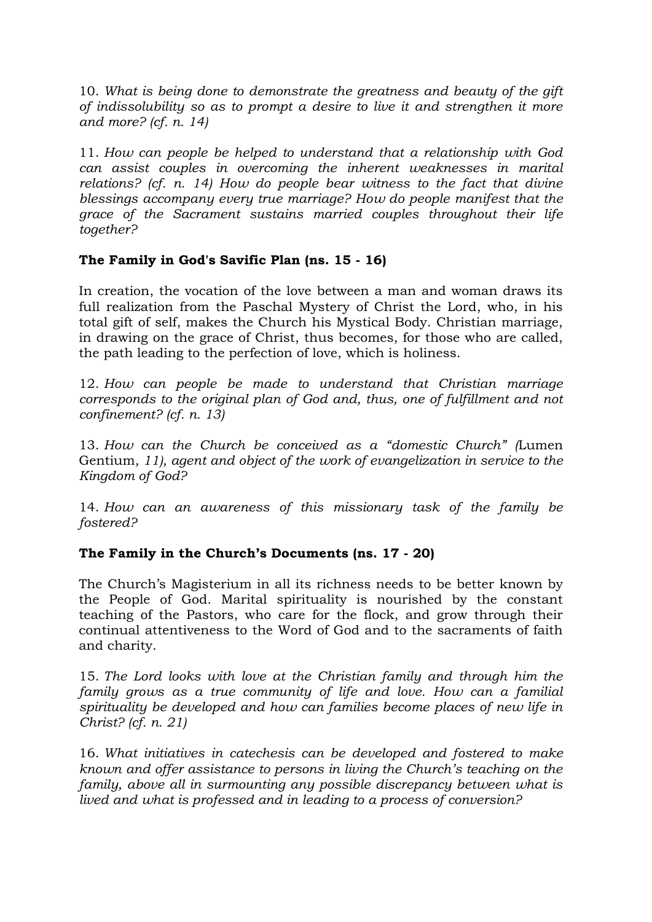10. *What is being done to demonstrate the greatness and beauty of the gift of indissolubility so as to prompt a desire to live it and strengthen it more and more? (cf. n. 14)*

11. *How can people be helped to understand that a relationship with God can assist couples in overcoming the inherent weaknesses in marital relations? (cf. n. 14) How do people bear witness to the fact that divine blessings accompany every true marriage? How do people manifest that the grace of the Sacrament sustains married couples throughout their life together?*

# **The Family in God's Savific Plan (ns. 15 - 16)**

In creation, the vocation of the love between a man and woman draws its full realization from the Paschal Mystery of Christ the Lord, who, in his total gift of self, makes the Church his Mystical Body. Christian marriage, in drawing on the grace of Christ, thus becomes, for those who are called, the path leading to the perfection of love, which is holiness.

12. *How can people be made to understand that Christian marriage corresponds to the original plan of God and, thus, one of fulfillment and not confinement? (cf. n. 13)*

13. *How can the Church be conceived as a "domestic Church" (*Lumen Gentium*, 11), agent and object of the work of evangelization in service to the Kingdom of God?*

14. *How can an awareness of this missionary task of the family be fostered?*

# **The Family in the Church's Documents (ns. 17 - 20)**

The Church's Magisterium in all its richness needs to be better known by the People of God. Marital spirituality is nourished by the constant teaching of the Pastors, who care for the flock, and grow through their continual attentiveness to the Word of God and to the sacraments of faith and charity.

15. *The Lord looks with love at the Christian family and through him the family grows as a true community of life and love. How can a familial spirituality be developed and how can families become places of new life in Christ? (cf. n. 21)*

16. *What initiatives in catechesis can be developed and fostered to make known and offer assistance to persons in living the Church's teaching on the family, above all in surmounting any possible discrepancy between what is lived and what is professed and in leading to a process of conversion?*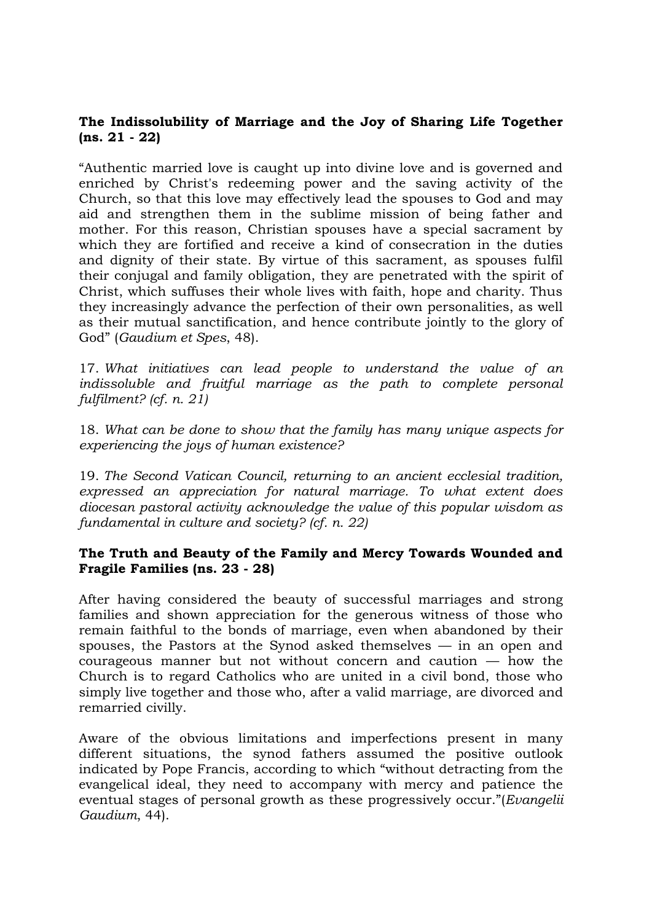### **The Indissolubility of Marriage and the Joy of Sharing Life Together (ns. 21 - 22)**

"Authentic married love is caught up into divine love and is governed and enriched by Christ's redeeming power and the saving activity of the Church, so that this love may effectively lead the spouses to God and may aid and strengthen them in the sublime mission of being father and mother. For this reason, Christian spouses have a special sacrament by which they are fortified and receive a kind of consecration in the duties and dignity of their state. By virtue of this sacrament, as spouses fulfil their conjugal and family obligation, they are penetrated with the spirit of Christ, which suffuses their whole lives with faith, hope and charity. Thus they increasingly advance the perfection of their own personalities, as well as their mutual sanctification, and hence contribute jointly to the glory of God" (*Gaudium et Spes*, 48).

17. *What initiatives can lead people to understand the value of an indissoluble and fruitful marriage as the path to complete personal fulfilment? (cf. n. 21)*

18. *What can be done to show that the family has many unique aspects for experiencing the joys of human existence?*

19. *The Second Vatican Council, returning to an ancient ecclesial tradition, expressed an appreciation for natural marriage. To what extent does diocesan pastoral activity acknowledge the value of this popular wisdom as fundamental in culture and society? (cf. n. 22)*

#### **The Truth and Beauty of the Family and Mercy Towards Wounded and Fragile Families (ns. 23 - 28)**

After having considered the beauty of successful marriages and strong families and shown appreciation for the generous witness of those who remain faithful to the bonds of marriage, even when abandoned by their spouses, the Pastors at the Synod asked themselves — in an open and courageous manner but not without concern and caution — how the Church is to regard Catholics who are united in a civil bond, those who simply live together and those who, after a valid marriage, are divorced and remarried civilly.

Aware of the obvious limitations and imperfections present in many different situations, the synod fathers assumed the positive outlook indicated by Pope Francis, according to which "without detracting from the evangelical ideal, they need to accompany with mercy and patience the eventual stages of personal growth as these progressively occur."(*Evangelii Gaudium*, 44).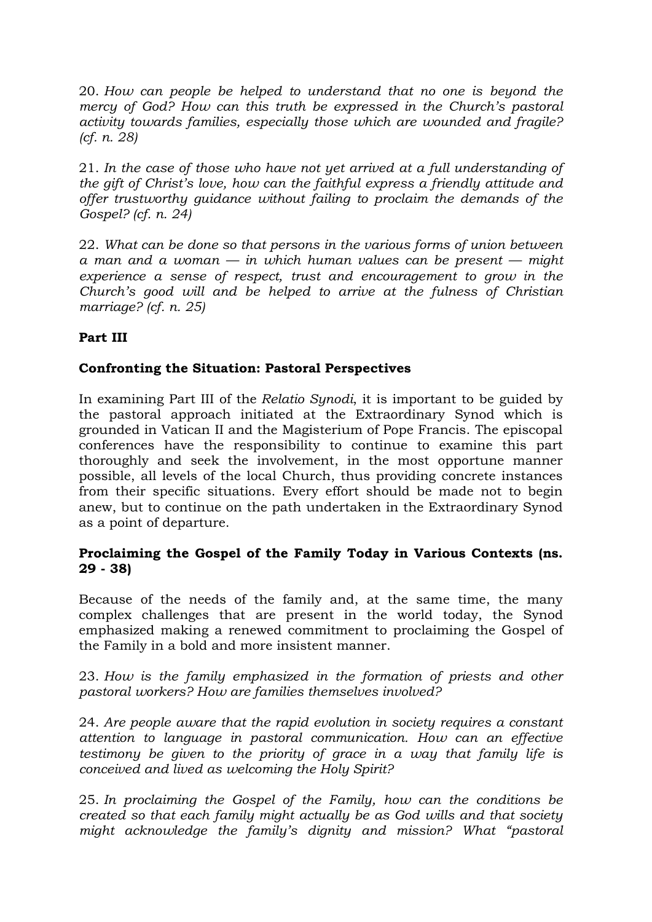20. *How can people be helped to understand that no one is beyond the mercy of God? How can this truth be expressed in the Church's pastoral activity towards families, especially those which are wounded and fragile? (cf. n. 28)*

21. *In the case of those who have not yet arrived at a full understanding of the gift of Christ's love, how can the faithful express a friendly attitude and offer trustworthy guidance without failing to proclaim the demands of the Gospel? (cf. n. 24)*

22. *What can be done so that persons in the various forms of union between a man and a woman — in which human values can be present — might experience a sense of respect, trust and encouragement to grow in the Church's good will and be helped to arrive at the fulness of Christian marriage? (cf. n. 25)*

# **Part III**

#### **Confronting the Situation: Pastoral Perspectives**

In examining Part III of the *Relatio Synodi*, it is important to be guided by the pastoral approach initiated at the Extraordinary Synod which is grounded in Vatican II and the Magisterium of Pope Francis. The episcopal conferences have the responsibility to continue to examine this part thoroughly and seek the involvement, in the most opportune manner possible, all levels of the local Church, thus providing concrete instances from their specific situations. Every effort should be made not to begin anew, but to continue on the path undertaken in the Extraordinary Synod as a point of departure.

#### **Proclaiming the Gospel of the Family Today in Various Contexts (ns. 29 - 38)**

Because of the needs of the family and, at the same time, the many complex challenges that are present in the world today, the Synod emphasized making a renewed commitment to proclaiming the Gospel of the Family in a bold and more insistent manner.

23. *How is the family emphasized in the formation of priests and other pastoral workers? How are families themselves involved?*

24. *Are people aware that the rapid evolution in society requires a constant attention to language in pastoral communication. How can an effective testimony be given to the priority of grace in a way that family life is conceived and lived as welcoming the Holy Spirit?*

25. *In proclaiming the Gospel of the Family, how can the conditions be created so that each family might actually be as God wills and that society might acknowledge the family's dignity and mission? What "pastoral*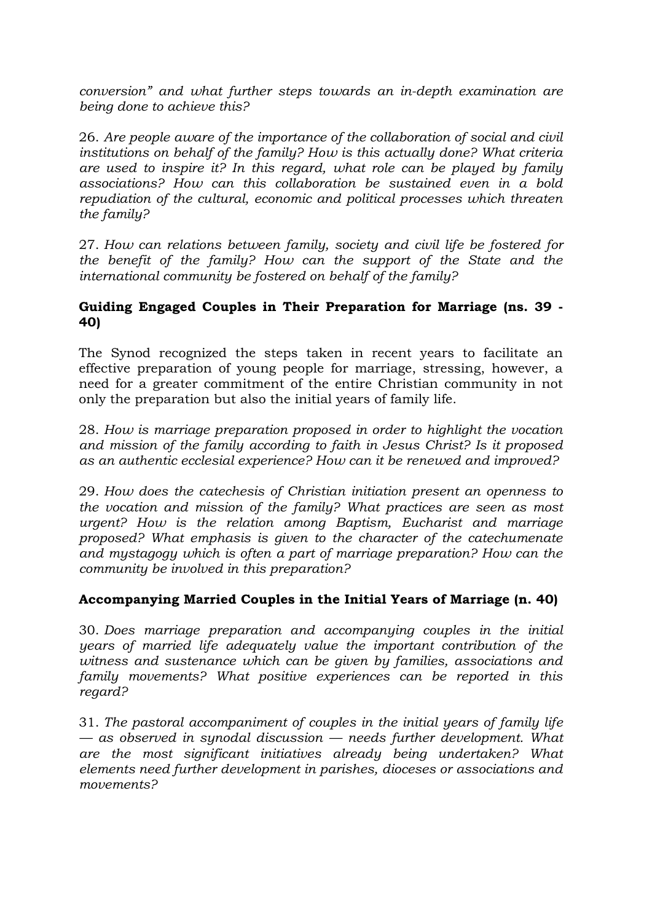*conversion" and what further steps towards an in-depth examination are being done to achieve this?*

26. *Are people aware of the importance of the collaboration of social and civil institutions on behalf of the family? How is this actually done? What criteria are used to inspire it? In this regard, what role can be played by family associations? How can this collaboration be sustained even in a bold repudiation of the cultural, economic and political processes which threaten the family?*

27. *How can relations between family, society and civil life be fostered for the benefit of the family? How can the support of the State and the international community be fostered on behalf of the family?*

## **Guiding Engaged Couples in Their Preparation for Marriage (ns. 39 - 40)**

The Synod recognized the steps taken in recent years to facilitate an effective preparation of young people for marriage, stressing, however, a need for a greater commitment of the entire Christian community in not only the preparation but also the initial years of family life.

28. *How is marriage preparation proposed in order to highlight the vocation and mission of the family according to faith in Jesus Christ? Is it proposed as an authentic ecclesial experience? How can it be renewed and improved?*

29. *How does the catechesis of Christian initiation present an openness to the vocation and mission of the family? What practices are seen as most urgent? How is the relation among Baptism, Eucharist and marriage proposed? What emphasis is given to the character of the catechumenate and mystagogy which is often a part of marriage preparation? How can the community be involved in this preparation?*

# **Accompanying Married Couples in the Initial Years of Marriage (n. 40)**

30. *Does marriage preparation and accompanying couples in the initial years of married life adequately value the important contribution of the witness and sustenance which can be given by families, associations and family movements? What positive experiences can be reported in this regard?*

31. *The pastoral accompaniment of couples in the initial years of family life — as observed in synodal discussion — needs further development. What are the most significant initiatives already being undertaken? What elements need further development in parishes, dioceses or associations and movements?*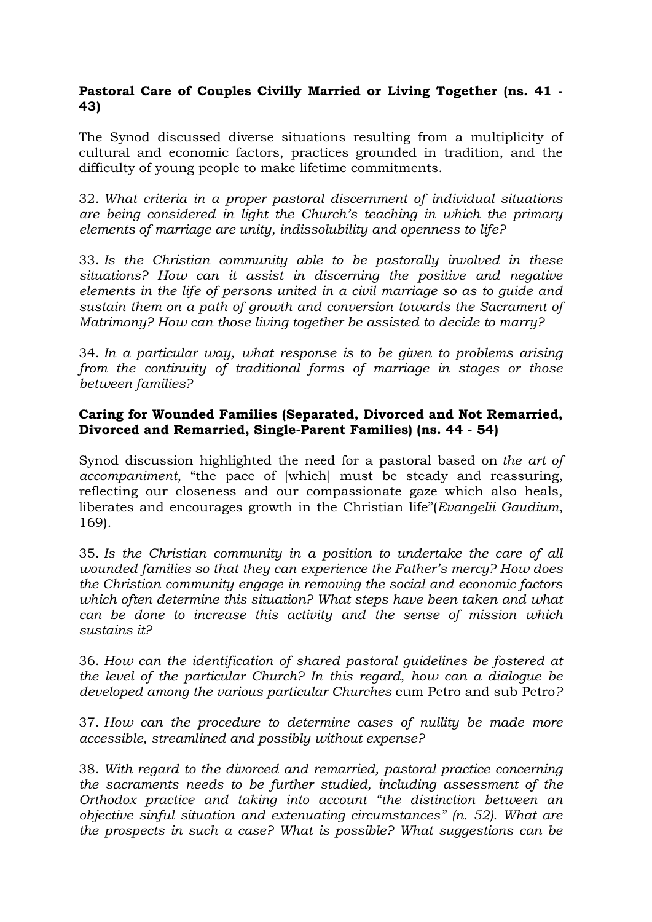# **Pastoral Care of Couples Civilly Married or Living Together (ns. 41 - 43)**

The Synod discussed diverse situations resulting from a multiplicity of cultural and economic factors, practices grounded in tradition, and the difficulty of young people to make lifetime commitments.

32. *What criteria in a proper pastoral discernment of individual situations are being considered in light the Church's teaching in which the primary elements of marriage are unity, indissolubility and openness to life?*

33. *Is the Christian community able to be pastorally involved in these situations? How can it assist in discerning the positive and negative elements in the life of persons united in a civil marriage so as to guide and sustain them on a path of growth and conversion towards the Sacrament of Matrimony? How can those living together be assisted to decide to marry?*

34. *In a particular way, what response is to be given to problems arising from the continuity of traditional forms of marriage in stages or those between families?*

## **Caring for Wounded Families (Separated, Divorced and Not Remarried, Divorced and Remarried, Single-Parent Families) (ns. 44 - 54)**

Synod discussion highlighted the need for a pastoral based on *the art of accompaniment*, "the pace of [which] must be steady and reassuring, reflecting our closeness and our compassionate gaze which also heals, liberates and encourages growth in the Christian life"(*Evangelii Gaudium*, 169).

35. *Is the Christian community in a position to undertake the care of all wounded families so that they can experience the Father's mercy? How does the Christian community engage in removing the social and economic factors which often determine this situation? What steps have been taken and what can be done to increase this activity and the sense of mission which sustains it?*

36. *How can the identification of shared pastoral guidelines be fostered at the level of the particular Church? In this regard, how can a dialogue be developed among the various particular Churches* cum Petro and sub Petro*?*

37. *How can the procedure to determine cases of nullity be made more accessible, streamlined and possibly without expense?*

38. *With regard to the divorced and remarried, pastoral practice concerning the sacraments needs to be further studied, including assessment of the Orthodox practice and taking into account "the distinction between an objective sinful situation and extenuating circumstances" (n. 52). What are the prospects in such a case? What is possible? What suggestions can be*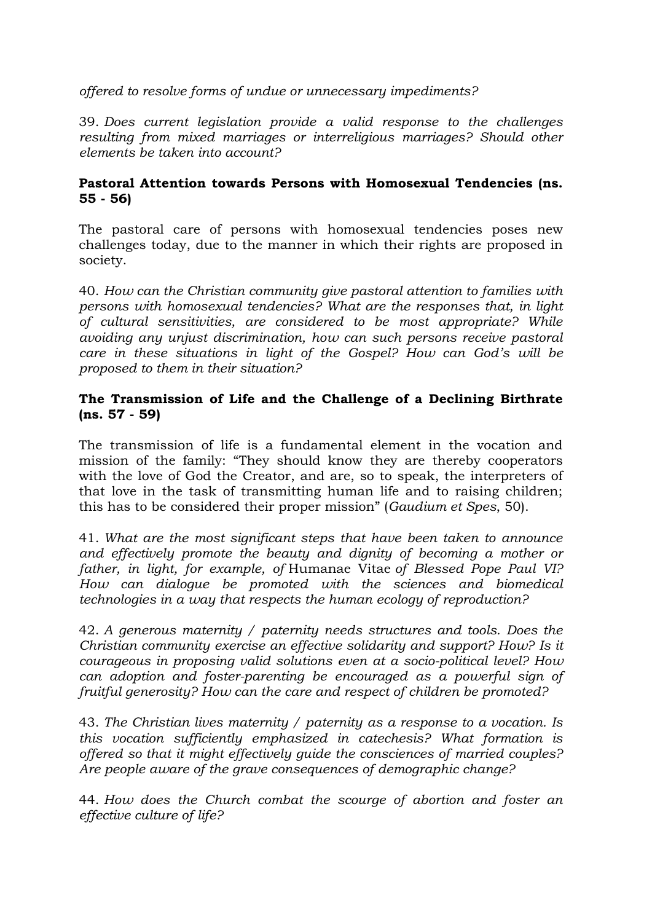*offered to resolve forms of undue or unnecessary impediments?*

39. *Does current legislation provide a valid response to the challenges resulting from mixed marriages or interreligious marriages? Should other elements be taken into account?*

# **Pastoral Attention towards Persons with Homosexual Tendencies (ns. 55 - 56)**

The pastoral care of persons with homosexual tendencies poses new challenges today, due to the manner in which their rights are proposed in society.

40. *How can the Christian community give pastoral attention to families with persons with homosexual tendencies? What are the responses that, in light of cultural sensitivities, are considered to be most appropriate? While avoiding any unjust discrimination, how can such persons receive pastoral care in these situations in light of the Gospel? How can God's will be proposed to them in their situation?*

# **The Transmission of Life and the Challenge of a Declining Birthrate (ns. 57 - 59)**

The transmission of life is a fundamental element in the vocation and mission of the family: "They should know they are thereby cooperators with the love of God the Creator, and are, so to speak, the interpreters of that love in the task of transmitting human life and to raising children; this has to be considered their proper mission" (*Gaudium et Spes*, 50).

41. *What are the most significant steps that have been taken to announce and effectively promote the beauty and dignity of becoming a mother or father, in light, for example, of* Humanae Vitae *of Blessed Pope Paul VI? How can dialogue be promoted with the sciences and biomedical technologies in a way that respects the human ecology of reproduction?*

42. *A generous maternity / paternity needs structures and tools. Does the Christian community exercise an effective solidarity and support? How? Is it courageous in proposing valid solutions even at a socio-political level? How can adoption and foster-parenting be encouraged as a powerful sign of fruitful generosity? How can the care and respect of children be promoted?*

43. *The Christian lives maternity / paternity as a response to a vocation. Is this vocation sufficiently emphasized in catechesis? What formation is offered so that it might effectively guide the consciences of married couples? Are people aware of the grave consequences of demographic change?*

44. *How does the Church combat the scourge of abortion and foster an effective culture of life?*